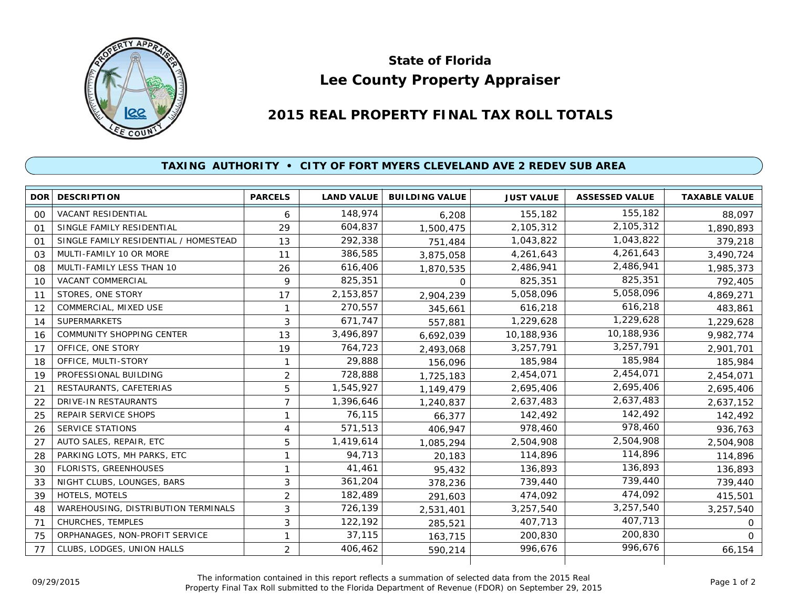

## **Lee County Property Appraiser State of Florida**

## **2015 REAL PROPERTY FINAL TAX ROLL TOTALS**

## **TAXING AUTHORITY • CITY OF FORT MYERS CLEVELAND AVE 2 REDEV SUB AREA**

|    | <b>DOR DESCRIPTION</b>                | <b>PARCELS</b> | <b>LAND VALUE</b> | <b>BUILDING VALUE</b> | <b>JUST VALUE</b> | <b>ASSESSED VALUE</b> | <b>TAXABLE VALUE</b> |
|----|---------------------------------------|----------------|-------------------|-----------------------|-------------------|-----------------------|----------------------|
| 00 | VACANT RESIDENTIAL                    | 6              | 148,974           | 6,208                 | 155,182           | 155,182               | 88,097               |
| 01 | SINGLE FAMILY RESIDENTIAL             | 29             | 604,837           | 1,500,475             | 2,105,312         | 2,105,312             | 1,890,893            |
| 01 | SINGLE FAMILY RESIDENTIAL / HOMESTEAD | 13             | 292,338           | 751,484               | 1,043,822         | 1,043,822             | 379,218              |
| 03 | MULTI-FAMILY 10 OR MORE               | 11             | 386,585           | 3,875,058             | 4,261,643         | 4,261,643             | 3,490,724            |
| 08 | MULTI-FAMILY LESS THAN 10             | 26             | 616,406           | 1,870,535             | 2,486,941         | 2,486,941             | 1,985,373            |
| 10 | <b>VACANT COMMERCIAL</b>              | 9              | 825,351           | $\Omega$              | 825,351           | 825,351               | 792,405              |
| 11 | STORES, ONE STORY                     | 17             | 2,153,857         | 2,904,239             | 5,058,096         | 5,058,096             | 4,869,271            |
| 12 | COMMERCIAL, MIXED USE                 | 1              | 270,557           | 345,661               | 616,218           | 616,218               | 483,861              |
| 14 | <b>SUPERMARKETS</b>                   | 3              | 671,747           | 557,881               | 1,229,628         | 1,229,628             | 1,229,628            |
| 16 | <b>COMMUNITY SHOPPING CENTER</b>      | 13             | 3,496,897         | 6,692,039             | 10,188,936        | 10,188,936            | 9,982,774            |
| 17 | OFFICE, ONE STORY                     | 19             | 764,723           | 2,493,068             | 3,257,791         | 3,257,791             | 2,901,701            |
| 18 | OFFICE, MULTI-STORY                   | 1              | 29,888            | 156,096               | 185,984           | 185,984               | 185,984              |
| 19 | PROFESSIONAL BUILDING                 | 2              | 728,888           | 1,725,183             | 2,454,071         | 2,454,071             | 2,454,071            |
| 21 | RESTAURANTS, CAFETERIAS               | 5              | 1,545,927         | 1,149,479             | 2,695,406         | 2,695,406             | 2,695,406            |
| 22 | <b>DRIVE-IN RESTAURANTS</b>           | $\overline{7}$ | 1,396,646         | 1,240,837             | 2,637,483         | 2,637,483             | 2,637,152            |
| 25 | <b>REPAIR SERVICE SHOPS</b>           | 1              | 76,115            | 66,377                | 142,492           | 142,492               | 142,492              |
| 26 | <b>SERVICE STATIONS</b>               | 4              | 571,513           | 406,947               | 978,460           | 978,460               | 936,763              |
| 27 | AUTO SALES, REPAIR, ETC               | 5              | 1,419,614         | 1,085,294             | 2,504,908         | 2,504,908             | 2,504,908            |
| 28 | PARKING LOTS, MH PARKS, ETC           | 1              | 94,713            | 20.183                | 114,896           | 114,896               | 114,896              |
| 30 | FLORISTS, GREENHOUSES                 | 1              | 41,461            | 95,432                | 136,893           | 136,893               | 136,893              |
| 33 | NIGHT CLUBS, LOUNGES, BARS            | 3              | 361,204           | 378,236               | 739,440           | 739,440               | 739,440              |
| 39 | HOTELS, MOTELS                        | $\overline{2}$ | 182,489           | 291,603               | 474,092           | 474,092               | 415,501              |
| 48 | WAREHOUSING, DISTRIBUTION TERMINALS   | 3              | 726,139           | 2,531,401             | 3,257,540         | 3,257,540             | 3,257,540            |
| 71 | CHURCHES, TEMPLES                     | 3              | 122,192           | 285,521               | 407,713           | 407,713               | $\Omega$             |
| 75 | ORPHANAGES, NON-PROFIT SERVICE        | 1              | 37,115            | 163,715               | 200,830           | 200,830               | $\Omega$             |
| 77 | CLUBS, LODGES, UNION HALLS            | $\overline{2}$ | 406,462           | 590,214               | 996,676           | 996,676               | 66,154               |
|    |                                       |                |                   |                       |                   |                       |                      |

The information contained in this report reflects a summation of selected data from the 2015 Real Ine information contained in this report reflects a summation of selected data from the 2015 Real<br>Property Final Tax Roll submitted to the Florida Department of Revenue (FDOR) on September 29, 2015